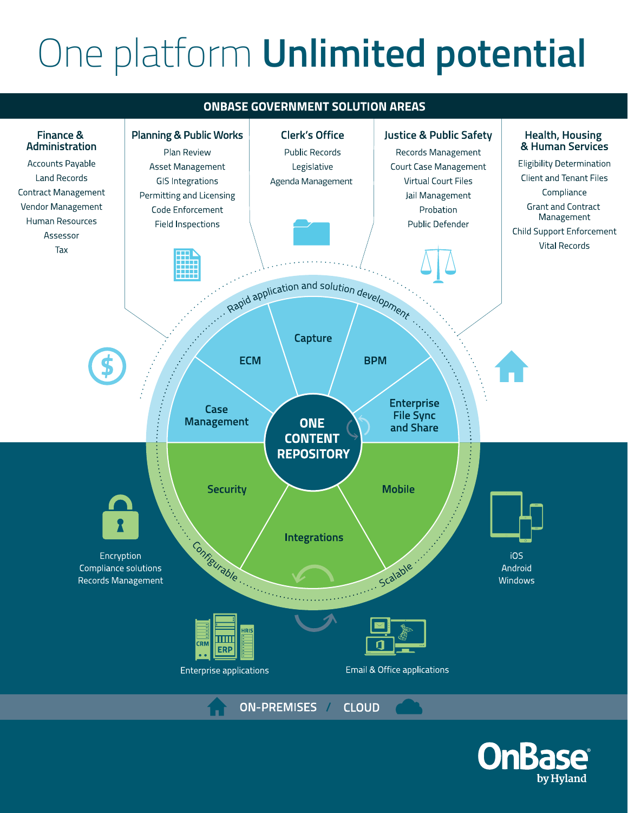# One platform **Unlimited potential**